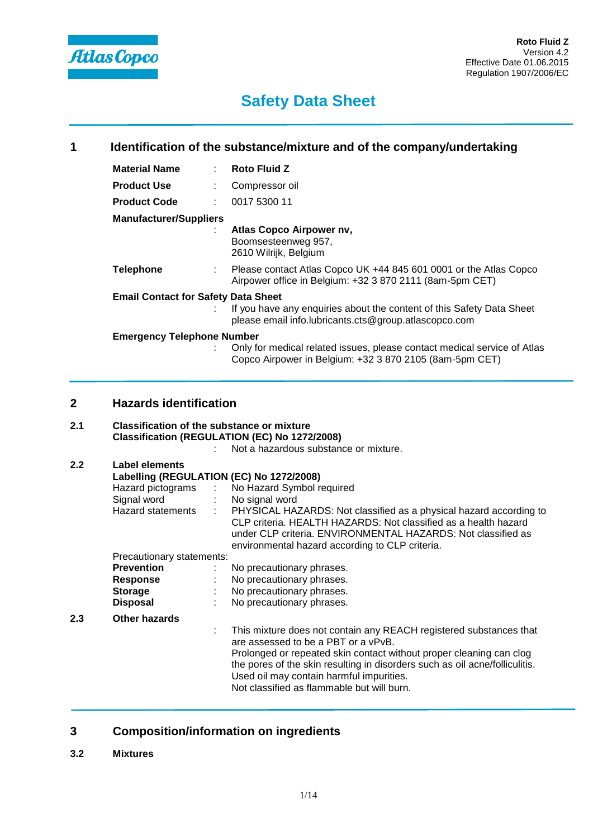

| 1 | Identification of the substance/mixture and of the company/undertaking |  |                                                                                                                                     |
|---|------------------------------------------------------------------------|--|-------------------------------------------------------------------------------------------------------------------------------------|
|   | <b>Material Name</b>                                                   |  | $:$ Roto Fluid Z                                                                                                                    |
|   | <b>Product Use</b>                                                     |  | Compressor oil                                                                                                                      |
|   | <b>Product Code</b>                                                    |  | 0017 5300 11                                                                                                                        |
|   | <b>Manufacturer/Suppliers</b>                                          |  | Atlas Copco Airpower nv,<br>Boomsesteenweg 957,<br>2610 Wilrijk, Belgium                                                            |
|   | <b>Telephone</b>                                                       |  | Please contact Atlas Copco UK +44 845 601 0001 or the Atlas Copco<br>Airpower office in Belgium: +32 3 870 2111 (8am-5pm CET)       |
|   | <b>Email Contact for Safety Data Sheet</b>                             |  | If you have any enquiries about the content of this Safety Data Sheet<br>please email info.lubricants.cts@group.atlascopco.com      |
|   | <b>Emergency Telephone Number</b>                                      |  | Only for medical related issues, please contact medical service of Atlas<br>Copco Airpower in Belgium: +32 3 870 2105 (8am-5pm CET) |

## **2 Hazards identification**

### **2.1 Classification of the substance or mixture Classification (REGULATION (EC) No 1272/2008)**

: Not a hazardous substance or mixture.

| 2.2 | Label elements<br>Labelling (REGULATION (EC) No 1272/2008)<br>Signal word |                            | Hazard pictograms : No Hazard Symbol required<br>: No signal word<br>Hazard statements : PHYSICAL HAZARDS: Not classified as a physical hazard according to<br>CLP criteria. HEALTH HAZARDS: Not classified as a health hazard<br>under CLP criteria. ENVIRONMENTAL HAZARDS: Not classified as<br>environmental hazard according to CLP criteria.         |
|-----|---------------------------------------------------------------------------|----------------------------|-----------------------------------------------------------------------------------------------------------------------------------------------------------------------------------------------------------------------------------------------------------------------------------------------------------------------------------------------------------|
|     | Precautionary statements:                                                 |                            |                                                                                                                                                                                                                                                                                                                                                           |
|     | <b>Prevention</b><br>Response<br><b>Storage</b><br><b>Disposal</b>        | $\mathcal{L}^{\text{max}}$ | No precautionary phrases.<br>: No precautionary phrases.<br>: No precautionary phrases.<br>No precautionary phrases.                                                                                                                                                                                                                                      |
| 2.3 | <b>Other hazards</b>                                                      |                            | This mixture does not contain any REACH registered substances that<br>are assessed to be a PBT or a vPvB.<br>Prolonged or repeated skin contact without proper cleaning can clog<br>the pores of the skin resulting in disorders such as oil acne/folliculitis.<br>Used oil may contain harmful impurities.<br>Not classified as flammable but will burn. |

## **3 Composition/information on ingredients**

**3.2 Mixtures**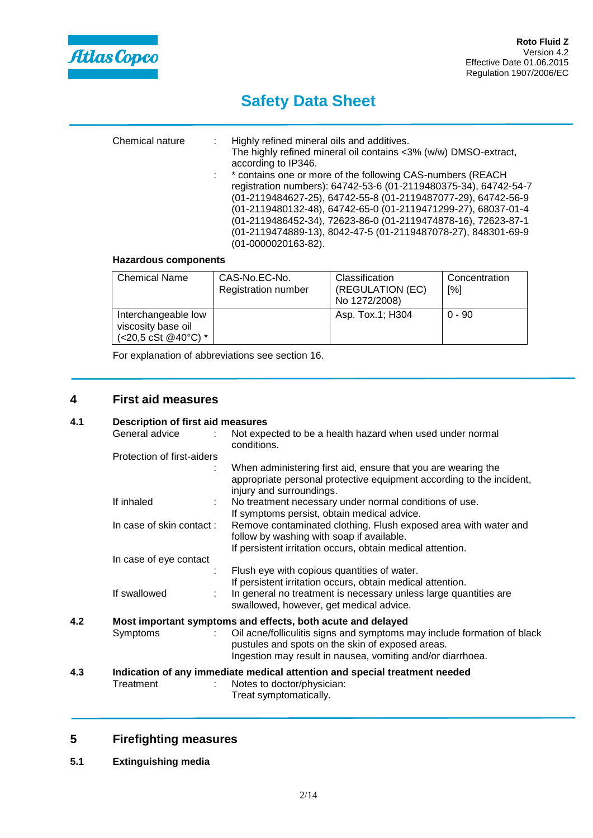

| Chemical nature | : Highly refined mineral oils and additives.<br>The highly refined mineral oil contains <3% (w/w) DMSO-extract,<br>according to IP346.<br>: * contains one or more of the following CAS-numbers (REACH<br>registration numbers): 64742-53-6 (01-2119480375-34), 64742-54-7<br>(01-2119484627-25), 64742-55-8 (01-2119487077-29), 64742-56-9<br>(01-2119480132-48), 64742-65-0 (01-2119471299-27), 68037-01-4<br>(01-2119486452-34), 72623-86-0 (01-2119474878-16), 72623-87-1<br>(01-2119474889-13), 8042-47-5 (01-2119487078-27), 848301-69-9<br>(01-0000020163-82). |
|-----------------|-----------------------------------------------------------------------------------------------------------------------------------------------------------------------------------------------------------------------------------------------------------------------------------------------------------------------------------------------------------------------------------------------------------------------------------------------------------------------------------------------------------------------------------------------------------------------|
|                 |                                                                                                                                                                                                                                                                                                                                                                                                                                                                                                                                                                       |

### **Hazardous components**

| <b>Chemical Name</b>                                                        | CAS-No.EC-No.<br><b>Registration number</b> | Classification<br>(REGULATION (EC)<br>No 1272/2008) | Concentration<br>[%] |
|-----------------------------------------------------------------------------|---------------------------------------------|-----------------------------------------------------|----------------------|
| Interchangeable low<br>viscosity base oil<br>(<20,5 cSt @40 $^{\circ}$ C) * |                                             | Asp. Tox.1; H304                                    | $0 - 90$             |

For explanation of abbreviations see section 16.

## **4 First aid measures**

### **4.1 Description of first aid measures**

|     | General advice             | Not expected to be a health hazard when used under normal<br>conditions.                                                                                                                                                 |
|-----|----------------------------|--------------------------------------------------------------------------------------------------------------------------------------------------------------------------------------------------------------------------|
|     | Protection of first-aiders |                                                                                                                                                                                                                          |
|     |                            | When administering first aid, ensure that you are wearing the<br>appropriate personal protective equipment according to the incident,<br>injury and surroundings.                                                        |
|     | If inhaled<br>÷            | No treatment necessary under normal conditions of use.<br>If symptoms persist, obtain medical advice.                                                                                                                    |
|     | In case of skin contact:   | Remove contaminated clothing. Flush exposed area with water and<br>follow by washing with soap if available.<br>If persistent irritation occurs, obtain medical attention.                                               |
|     | In case of eye contact     |                                                                                                                                                                                                                          |
|     | If swallowed               | Flush eye with copious quantities of water.<br>If persistent irritation occurs, obtain medical attention.<br>In general no treatment is necessary unless large quantities are<br>swallowed, however, get medical advice. |
| 4.2 |                            | Most important symptoms and effects, both acute and delayed                                                                                                                                                              |
|     | Symptoms                   | Oil acne/folliculitis signs and symptoms may include formation of black<br>pustules and spots on the skin of exposed areas.<br>Ingestion may result in nausea, vomiting and/or diarrhoea.                                |
| 4.3 |                            | Indication of any immediate medical attention and special treatment needed                                                                                                                                               |
|     | Treatment                  | Notes to doctor/physician:<br>Treat symptomatically.                                                                                                                                                                     |

## **5 Firefighting measures**

**5.1 Extinguishing media**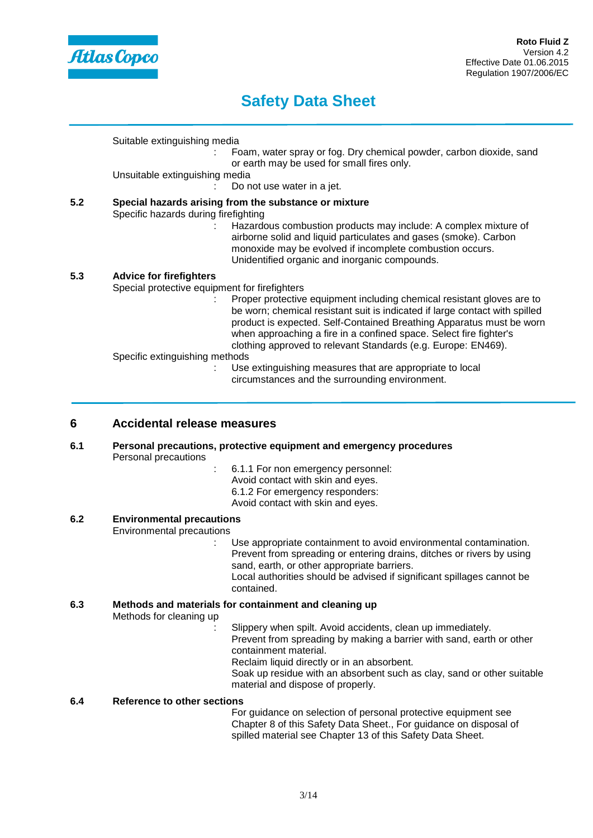

Suitable extinguishing media

: Foam, water spray or fog. Dry chemical powder, carbon dioxide, sand or earth may be used for small fires only.

Unsuitable extinguishing media

Do not use water in a jet.

## **5.2 Special hazards arising from the substance or mixture**

Specific hazards during firefighting

: Hazardous combustion products may include: A complex mixture of airborne solid and liquid particulates and gases (smoke). Carbon monoxide may be evolved if incomplete combustion occurs. Unidentified organic and inorganic compounds.

### **5.3 Advice for firefighters**

Special protective equipment for firefighters

Proper protective equipment including chemical resistant gloves are to be worn; chemical resistant suit is indicated if large contact with spilled product is expected. Self-Contained Breathing Apparatus must be worn when approaching a fire in a confined space. Select fire fighter's clothing approved to relevant Standards (e.g. Europe: EN469).

Specific extinguishing methods

: Use extinguishing measures that are appropriate to local circumstances and the surrounding environment.

### **6 Accidental release measures**

**6.1 Personal precautions, protective equipment and emergency procedures** Personal precautions

- : 6.1.1 For non emergency personnel: Avoid contact with skin and eyes.
- 6.1.2 For emergency responders:
- Avoid contact with skin and eyes.
- 

### **6.2 Environmental precautions**

Environmental precautions

- : Use appropriate containment to avoid environmental contamination. Prevent from spreading or entering drains, ditches or rivers by using sand, earth, or other appropriate barriers. Local authorities should be advised if significant spillages cannot be
	- contained.

## **6.3 Methods and materials for containment and cleaning up**

Methods for cleaning up

- Slippery when spilt. Avoid accidents, clean up immediately. Prevent from spreading by making a barrier with sand, earth or other containment material. Reclaim liquid directly or in an absorbent. Soak up residue with an absorbent such as clay, sand or other suitable
- material and dispose of properly.

### **6.4 Reference to other sections**

For guidance on selection of personal protective equipment see Chapter 8 of this Safety Data Sheet., For guidance on disposal of spilled material see Chapter 13 of this Safety Data Sheet.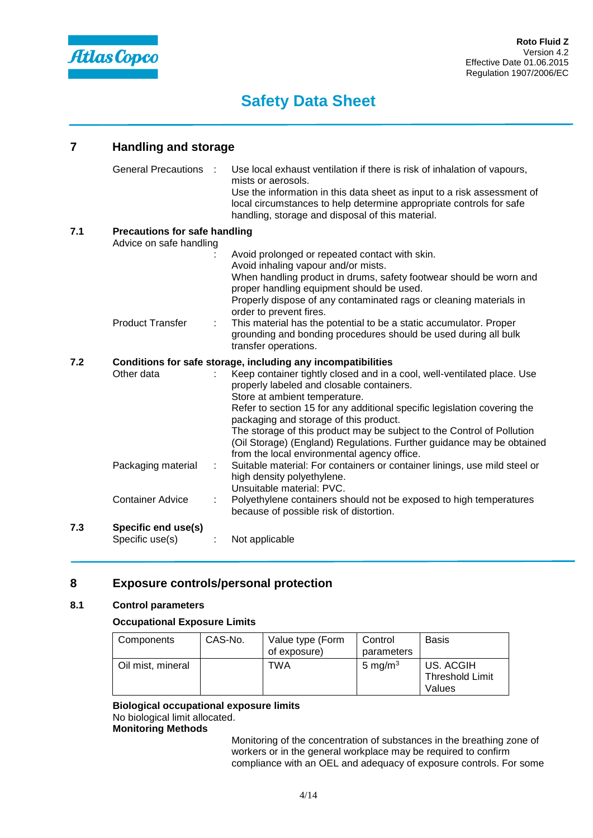

## **7 Handling and storage**

|     | General Precautions :                                           |   | Use local exhaust ventilation if there is risk of inhalation of vapours,<br>mists or aerosols.<br>Use the information in this data sheet as input to a risk assessment of<br>local circumstances to help determine appropriate controls for safe<br>handling, storage and disposal of this material.                                                                                                                                                                                                                                          |
|-----|-----------------------------------------------------------------|---|-----------------------------------------------------------------------------------------------------------------------------------------------------------------------------------------------------------------------------------------------------------------------------------------------------------------------------------------------------------------------------------------------------------------------------------------------------------------------------------------------------------------------------------------------|
| 7.1 | <b>Precautions for safe handling</b><br>Advice on safe handling |   | Avoid prolonged or repeated contact with skin.<br>Avoid inhaling vapour and/or mists.<br>When handling product in drums, safety footwear should be worn and<br>proper handling equipment should be used.                                                                                                                                                                                                                                                                                                                                      |
|     | <b>Product Transfer</b>                                         | ÷ | Properly dispose of any contaminated rags or cleaning materials in<br>order to prevent fires.<br>This material has the potential to be a static accumulator. Proper<br>grounding and bonding procedures should be used during all bulk<br>transfer operations.                                                                                                                                                                                                                                                                                |
| 7.2 | Other data                                                      |   | Conditions for safe storage, including any incompatibilities<br>Keep container tightly closed and in a cool, well-ventilated place. Use<br>properly labeled and closable containers.<br>Store at ambient temperature.<br>Refer to section 15 for any additional specific legislation covering the<br>packaging and storage of this product.<br>The storage of this product may be subject to the Control of Pollution<br>(Oil Storage) (England) Regulations. Further guidance may be obtained<br>from the local environmental agency office. |
|     | Packaging material                                              | ÷ | Suitable material: For containers or container linings, use mild steel or<br>high density polyethylene.<br>Unsuitable material: PVC.                                                                                                                                                                                                                                                                                                                                                                                                          |
|     | <b>Container Advice</b>                                         |   | Polyethylene containers should not be exposed to high temperatures<br>because of possible risk of distortion.                                                                                                                                                                                                                                                                                                                                                                                                                                 |
| 7.3 | Specific end use(s)<br>Specific use(s)                          |   | Not applicable                                                                                                                                                                                                                                                                                                                                                                                                                                                                                                                                |
|     |                                                                 |   |                                                                                                                                                                                                                                                                                                                                                                                                                                                                                                                                               |

## **8 Exposure controls/personal protection**

## **8.1 Control parameters**

#### **Occupational Exposure Limits**

| Components        | CAS-No. | Value type (Form<br>of exposure) | Control<br>parameters | <b>Basis</b>                                  |
|-------------------|---------|----------------------------------|-----------------------|-----------------------------------------------|
| Oil mist, mineral |         | TWA                              | 5 mg/m $3$            | US. ACGIH<br><b>Threshold Limit</b><br>Values |

**Biological occupational exposure limits** No biological limit allocated. **Monitoring Methods**

> Monitoring of the concentration of substances in the breathing zone of workers or in the general workplace may be required to confirm compliance with an OEL and adequacy of exposure controls. For some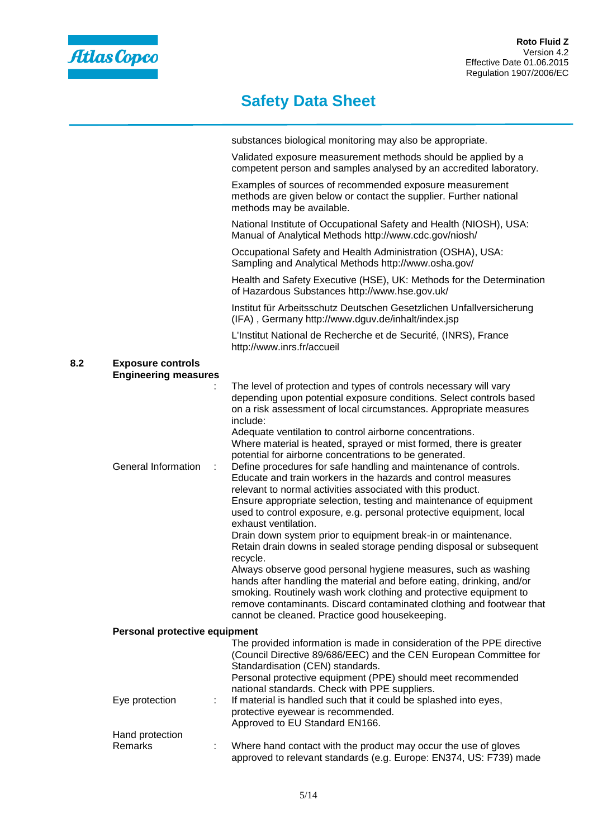

|     |                                                         | substances biological monitoring may also be appropriate.                                                                                                                                                                                                                                                                                                                                                                                                                                                                                                                                                                                                                                                                                                                                                                                                                                                                           |
|-----|---------------------------------------------------------|-------------------------------------------------------------------------------------------------------------------------------------------------------------------------------------------------------------------------------------------------------------------------------------------------------------------------------------------------------------------------------------------------------------------------------------------------------------------------------------------------------------------------------------------------------------------------------------------------------------------------------------------------------------------------------------------------------------------------------------------------------------------------------------------------------------------------------------------------------------------------------------------------------------------------------------|
|     |                                                         | Validated exposure measurement methods should be applied by a<br>competent person and samples analysed by an accredited laboratory.                                                                                                                                                                                                                                                                                                                                                                                                                                                                                                                                                                                                                                                                                                                                                                                                 |
|     |                                                         | Examples of sources of recommended exposure measurement<br>methods are given below or contact the supplier. Further national<br>methods may be available.                                                                                                                                                                                                                                                                                                                                                                                                                                                                                                                                                                                                                                                                                                                                                                           |
|     |                                                         | National Institute of Occupational Safety and Health (NIOSH), USA:<br>Manual of Analytical Methods http://www.cdc.gov/niosh/                                                                                                                                                                                                                                                                                                                                                                                                                                                                                                                                                                                                                                                                                                                                                                                                        |
|     |                                                         | Occupational Safety and Health Administration (OSHA), USA:<br>Sampling and Analytical Methods http://www.osha.gov/                                                                                                                                                                                                                                                                                                                                                                                                                                                                                                                                                                                                                                                                                                                                                                                                                  |
|     |                                                         | Health and Safety Executive (HSE), UK: Methods for the Determination<br>of Hazardous Substances http://www.hse.gov.uk/                                                                                                                                                                                                                                                                                                                                                                                                                                                                                                                                                                                                                                                                                                                                                                                                              |
|     |                                                         | Institut für Arbeitsschutz Deutschen Gesetzlichen Unfallversicherung<br>(IFA), Germany http://www.dguv.de/inhalt/index.jsp                                                                                                                                                                                                                                                                                                                                                                                                                                                                                                                                                                                                                                                                                                                                                                                                          |
|     |                                                         | L'Institut National de Recherche et de Securité, (INRS), France<br>http://www.inrs.fr/accueil                                                                                                                                                                                                                                                                                                                                                                                                                                                                                                                                                                                                                                                                                                                                                                                                                                       |
| 8.2 | <b>Exposure controls</b><br><b>Engineering measures</b> |                                                                                                                                                                                                                                                                                                                                                                                                                                                                                                                                                                                                                                                                                                                                                                                                                                                                                                                                     |
|     |                                                         | The level of protection and types of controls necessary will vary<br>depending upon potential exposure conditions. Select controls based<br>on a risk assessment of local circumstances. Appropriate measures<br>include:<br>Adequate ventilation to control airborne concentrations.<br>Where material is heated, sprayed or mist formed, there is greater                                                                                                                                                                                                                                                                                                                                                                                                                                                                                                                                                                         |
|     | General Information                                     | potential for airborne concentrations to be generated.<br>Define procedures for safe handling and maintenance of controls.<br>÷.<br>Educate and train workers in the hazards and control measures<br>relevant to normal activities associated with this product.<br>Ensure appropriate selection, testing and maintenance of equipment<br>used to control exposure, e.g. personal protective equipment, local<br>exhaust ventilation.<br>Drain down system prior to equipment break-in or maintenance.<br>Retain drain downs in sealed storage pending disposal or subsequent<br>recycle.<br>Always observe good personal hygiene measures, such as washing<br>hands after handling the material and before eating, drinking, and/or<br>smoking. Routinely wash work clothing and protective equipment to<br>remove contaminants. Discard contaminated clothing and footwear that<br>cannot be cleaned. Practice good housekeeping. |
|     | Personal protective equipment                           |                                                                                                                                                                                                                                                                                                                                                                                                                                                                                                                                                                                                                                                                                                                                                                                                                                                                                                                                     |
|     |                                                         | The provided information is made in consideration of the PPE directive<br>(Council Directive 89/686/EEC) and the CEN European Committee for<br>Standardisation (CEN) standards.<br>Personal protective equipment (PPE) should meet recommended<br>national standards. Check with PPE suppliers.                                                                                                                                                                                                                                                                                                                                                                                                                                                                                                                                                                                                                                     |
|     | Eye protection                                          | If material is handled such that it could be splashed into eyes,<br>÷<br>protective eyewear is recommended.<br>Approved to EU Standard EN166.                                                                                                                                                                                                                                                                                                                                                                                                                                                                                                                                                                                                                                                                                                                                                                                       |
|     | Hand protection                                         |                                                                                                                                                                                                                                                                                                                                                                                                                                                                                                                                                                                                                                                                                                                                                                                                                                                                                                                                     |
|     | Remarks                                                 | Where hand contact with the product may occur the use of gloves<br>approved to relevant standards (e.g. Europe: EN374, US: F739) made                                                                                                                                                                                                                                                                                                                                                                                                                                                                                                                                                                                                                                                                                                                                                                                               |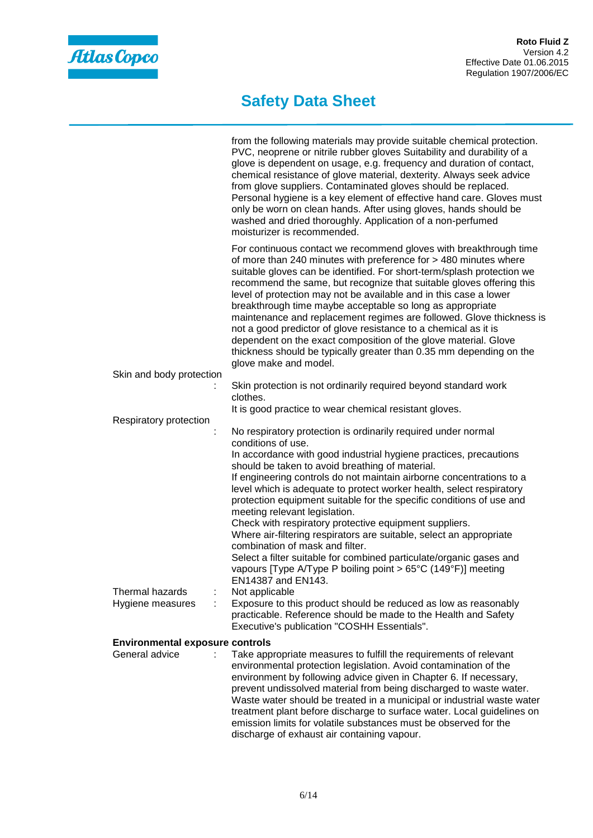

|                                        | from the following materials may provide suitable chemical protection.<br>PVC, neoprene or nitrile rubber gloves Suitability and durability of a<br>glove is dependent on usage, e.g. frequency and duration of contact,<br>chemical resistance of glove material, dexterity. Always seek advice<br>from glove suppliers. Contaminated gloves should be replaced.<br>Personal hygiene is a key element of effective hand care. Gloves must<br>only be worn on clean hands. After using gloves, hands should be<br>washed and dried thoroughly. Application of a non-perfumed<br>moisturizer is recommended.                                                                                                                             |
|----------------------------------------|-----------------------------------------------------------------------------------------------------------------------------------------------------------------------------------------------------------------------------------------------------------------------------------------------------------------------------------------------------------------------------------------------------------------------------------------------------------------------------------------------------------------------------------------------------------------------------------------------------------------------------------------------------------------------------------------------------------------------------------------|
|                                        | For continuous contact we recommend gloves with breakthrough time<br>of more than 240 minutes with preference for > 480 minutes where<br>suitable gloves can be identified. For short-term/splash protection we<br>recommend the same, but recognize that suitable gloves offering this<br>level of protection may not be available and in this case a lower<br>breakthrough time maybe acceptable so long as appropriate<br>maintenance and replacement regimes are followed. Glove thickness is<br>not a good predictor of glove resistance to a chemical as it is<br>dependent on the exact composition of the glove material. Glove<br>thickness should be typically greater than 0.35 mm depending on the<br>glove make and model. |
| Skin and body protection               |                                                                                                                                                                                                                                                                                                                                                                                                                                                                                                                                                                                                                                                                                                                                         |
|                                        | Skin protection is not ordinarily required beyond standard work<br>clothes.                                                                                                                                                                                                                                                                                                                                                                                                                                                                                                                                                                                                                                                             |
|                                        | It is good practice to wear chemical resistant gloves.                                                                                                                                                                                                                                                                                                                                                                                                                                                                                                                                                                                                                                                                                  |
| Respiratory protection                 | No respiratory protection is ordinarily required under normal                                                                                                                                                                                                                                                                                                                                                                                                                                                                                                                                                                                                                                                                           |
|                                        | conditions of use.                                                                                                                                                                                                                                                                                                                                                                                                                                                                                                                                                                                                                                                                                                                      |
|                                        | In accordance with good industrial hygiene practices, precautions<br>should be taken to avoid breathing of material.                                                                                                                                                                                                                                                                                                                                                                                                                                                                                                                                                                                                                    |
|                                        | If engineering controls do not maintain airborne concentrations to a<br>level which is adequate to protect worker health, select respiratory<br>protection equipment suitable for the specific conditions of use and<br>meeting relevant legislation.<br>Check with respiratory protective equipment suppliers.<br>Where air-filtering respirators are suitable, select an appropriate                                                                                                                                                                                                                                                                                                                                                  |
|                                        | combination of mask and filter.<br>Select a filter suitable for combined particulate/organic gases and<br>vapours [Type A/Type P boiling point > 65°C (149°F)] meeting<br>EN14387 and EN143.                                                                                                                                                                                                                                                                                                                                                                                                                                                                                                                                            |
| Thermal hazards<br>Hygiene measures    | Not applicable<br>Exposure to this product should be reduced as low as reasonably<br>practicable. Reference should be made to the Health and Safety<br>Executive's publication "COSHH Essentials".                                                                                                                                                                                                                                                                                                                                                                                                                                                                                                                                      |
| <b>Environmental exposure controls</b> |                                                                                                                                                                                                                                                                                                                                                                                                                                                                                                                                                                                                                                                                                                                                         |
| General advice                         | Take appropriate measures to fulfill the requirements of relevant<br>environmental protection legislation. Avoid contamination of the<br>environment by following advice given in Chapter 6. If necessary,<br>prevent undissolved material from being discharged to waste water.                                                                                                                                                                                                                                                                                                                                                                                                                                                        |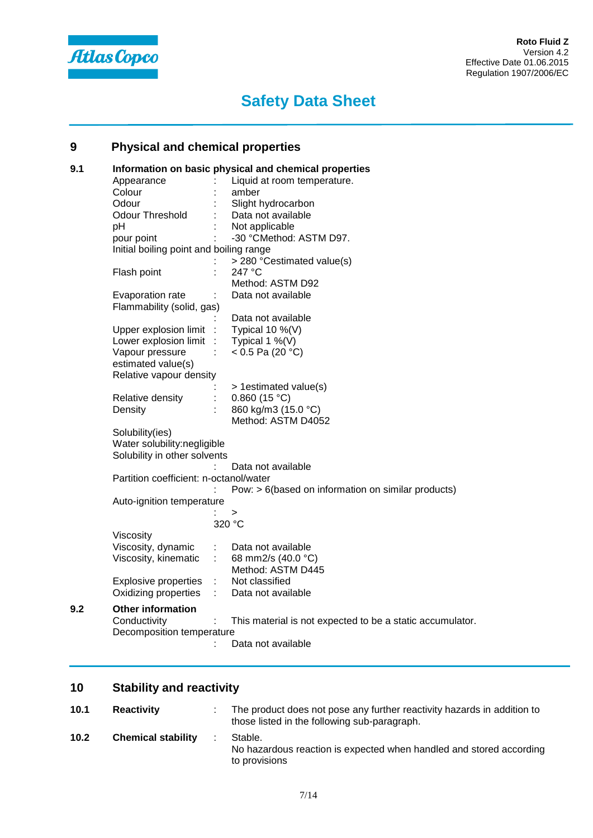

## **9 Physical and chemical properties**

| 9.1 |                                         |                             | Information on basic physical and chemical properties     |  |  |  |  |
|-----|-----------------------------------------|-----------------------------|-----------------------------------------------------------|--|--|--|--|
|     | Appearance                              |                             | Liquid at room temperature.                               |  |  |  |  |
|     | Colour                                  |                             | amber                                                     |  |  |  |  |
|     | Odour                                   |                             | Slight hydrocarbon                                        |  |  |  |  |
|     | <b>Odour Threshold</b>                  |                             | Data not available                                        |  |  |  |  |
|     | рH                                      |                             | Not applicable                                            |  |  |  |  |
|     | pour point                              |                             | -30 °CMethod: ASTM D97.                                   |  |  |  |  |
|     | Initial boiling point and boiling range |                             |                                                           |  |  |  |  |
|     |                                         |                             | > 280 °Cestimated value(s)                                |  |  |  |  |
|     | Flash point                             |                             | 247 °C                                                    |  |  |  |  |
|     |                                         |                             | Method: ASTM D92                                          |  |  |  |  |
|     | Evaporation rate                        |                             | Data not available                                        |  |  |  |  |
|     | Flammability (solid, gas)               |                             |                                                           |  |  |  |  |
|     |                                         |                             | Data not available                                        |  |  |  |  |
|     | Upper explosion limit                   | $\cdot$                     | Typical 10 %(V)                                           |  |  |  |  |
|     | Lower explosion limit                   |                             | Typical 1 $%$ (V)                                         |  |  |  |  |
|     | Vapour pressure                         |                             | < $0.5$ Pa (20 °C)                                        |  |  |  |  |
|     | estimated value(s)                      |                             |                                                           |  |  |  |  |
|     | Relative vapour density                 |                             |                                                           |  |  |  |  |
|     |                                         |                             | > 1estimated value(s)                                     |  |  |  |  |
|     | Relative density                        |                             | 0.860(15 °C)                                              |  |  |  |  |
|     | Density                                 |                             | 860 kg/m3 (15.0 °C)                                       |  |  |  |  |
|     |                                         |                             | Method: ASTM D4052                                        |  |  |  |  |
|     |                                         | Solubility(ies)             |                                                           |  |  |  |  |
|     |                                         | Water solubility:negligible |                                                           |  |  |  |  |
|     | Solubility in other solvents            |                             |                                                           |  |  |  |  |
|     |                                         |                             | Data not available                                        |  |  |  |  |
|     | Partition coefficient: n-octanol/water  |                             |                                                           |  |  |  |  |
|     |                                         |                             | Pow: > 6(based on information on similar products)        |  |  |  |  |
|     | Auto-ignition temperature               |                             |                                                           |  |  |  |  |
|     |                                         |                             | ><br>320 °C                                               |  |  |  |  |
|     | Viscosity                               |                             |                                                           |  |  |  |  |
|     | Viscosity, dynamic                      |                             | Data not available                                        |  |  |  |  |
|     | Viscosity, kinematic                    | ÷.                          | 68 mm2/s (40.0 °C)                                        |  |  |  |  |
|     |                                         |                             | Method: ASTM D445                                         |  |  |  |  |
|     | <b>Explosive properties</b>             | ÷.                          | Not classified                                            |  |  |  |  |
|     | Oxidizing properties                    |                             | Data not available                                        |  |  |  |  |
|     |                                         |                             |                                                           |  |  |  |  |
| 9.2 | <b>Other information</b>                |                             |                                                           |  |  |  |  |
|     | Conductivity                            |                             | This material is not expected to be a static accumulator. |  |  |  |  |
|     | Decomposition temperature               |                             |                                                           |  |  |  |  |
|     |                                         |                             | Data not available                                        |  |  |  |  |

## **10 Stability and reactivity**

| 10.1 | <b>Reactivity</b>         | The product does not pose any further reactivity hazards in addition to<br>those listed in the following sub-paragraph. |
|------|---------------------------|-------------------------------------------------------------------------------------------------------------------------|
| 10.2 | <b>Chemical stability</b> | Stable.<br>No hazardous reaction is expected when handled and stored according<br>to provisions                         |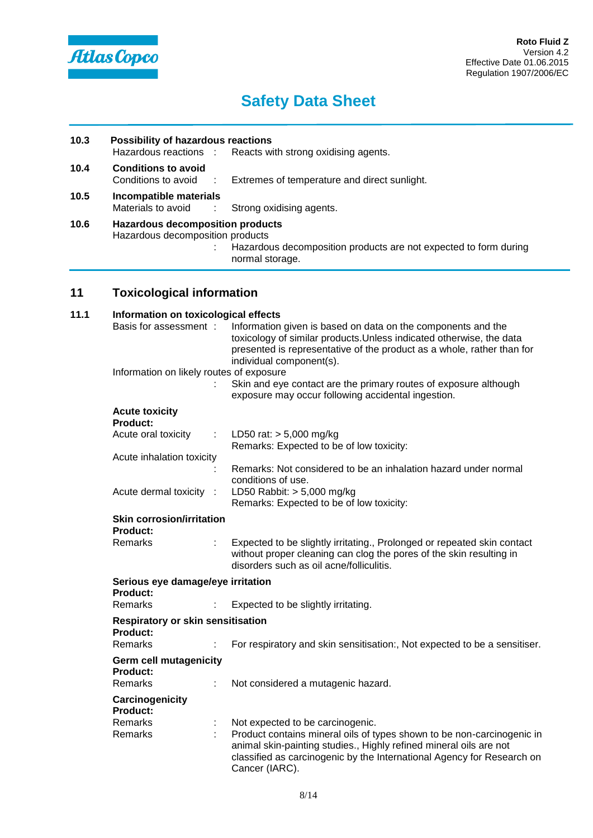

## **10.3 Possibility of hazardous reactions** Reacts with strong oxidising agents. **10.4 Conditions to avoid** : Extremes of temperature and direct sunlight. **10.5 Incompatible materials** : Strong oxidising agents. **10.6 Hazardous decomposition products** Hazardous decomposition products : Hazardous decomposition products are not expected to form during normal storage.

## **11 Toxicological information**

| 11.1 |                                                      | Information on toxicological effects |                                                                                                                                                                                                                                            |  |  |  |  |
|------|------------------------------------------------------|--------------------------------------|--------------------------------------------------------------------------------------------------------------------------------------------------------------------------------------------------------------------------------------------|--|--|--|--|
|      | Basis for assessment:                                |                                      | Information given is based on data on the components and the<br>toxicology of similar products. Unless indicated otherwise, the data<br>presented is representative of the product as a whole, rather than for<br>individual component(s). |  |  |  |  |
|      | Information on likely routes of exposure             |                                      |                                                                                                                                                                                                                                            |  |  |  |  |
|      |                                                      |                                      | Skin and eye contact are the primary routes of exposure although<br>exposure may occur following accidental ingestion.                                                                                                                     |  |  |  |  |
|      | <b>Acute toxicity</b><br>Product:                    |                                      |                                                                                                                                                                                                                                            |  |  |  |  |
|      | Acute oral toxicity                                  | ÷                                    | LD50 rat: $> 5,000$ mg/kg<br>Remarks: Expected to be of low toxicity:                                                                                                                                                                      |  |  |  |  |
|      | Acute inhalation toxicity                            |                                      |                                                                                                                                                                                                                                            |  |  |  |  |
|      |                                                      |                                      | Remarks: Not considered to be an inhalation hazard under normal<br>conditions of use.                                                                                                                                                      |  |  |  |  |
|      | Acute dermal toxicity :                              |                                      | LD50 Rabbit: $> 5,000$ mg/kg<br>Remarks: Expected to be of low toxicity:                                                                                                                                                                   |  |  |  |  |
|      | <b>Skin corrosion/irritation</b><br><b>Product:</b>  |                                      |                                                                                                                                                                                                                                            |  |  |  |  |
|      | Remarks                                              |                                      | Expected to be slightly irritating., Prolonged or repeated skin contact<br>without proper cleaning can clog the pores of the skin resulting in<br>disorders such as oil acne/folliculitis.                                                 |  |  |  |  |
|      | Product:                                             | Serious eye damage/eye irritation    |                                                                                                                                                                                                                                            |  |  |  |  |
|      | <b>Remarks</b>                                       |                                      | Expected to be slightly irritating.                                                                                                                                                                                                        |  |  |  |  |
|      | <b>Respiratory or skin sensitisation</b><br>Product: |                                      |                                                                                                                                                                                                                                            |  |  |  |  |
|      | <b>Remarks</b>                                       |                                      | For respiratory and skin sensitisation:, Not expected to be a sensitiser.                                                                                                                                                                  |  |  |  |  |
|      | <b>Germ cell mutagenicity</b><br><b>Product:</b>     |                                      |                                                                                                                                                                                                                                            |  |  |  |  |
|      | <b>Remarks</b>                                       | ÷                                    | Not considered a mutagenic hazard.                                                                                                                                                                                                         |  |  |  |  |
|      | Carcinogenicity<br><b>Product:</b>                   |                                      |                                                                                                                                                                                                                                            |  |  |  |  |
|      | Remarks                                              |                                      | Not expected to be carcinogenic.                                                                                                                                                                                                           |  |  |  |  |
|      | Remarks                                              | ÷                                    | Product contains mineral oils of types shown to be non-carcinogenic in<br>animal skin-painting studies., Highly refined mineral oils are not<br>classified as carcinogenic by the International Agency for Research on<br>Cancer (IARC).   |  |  |  |  |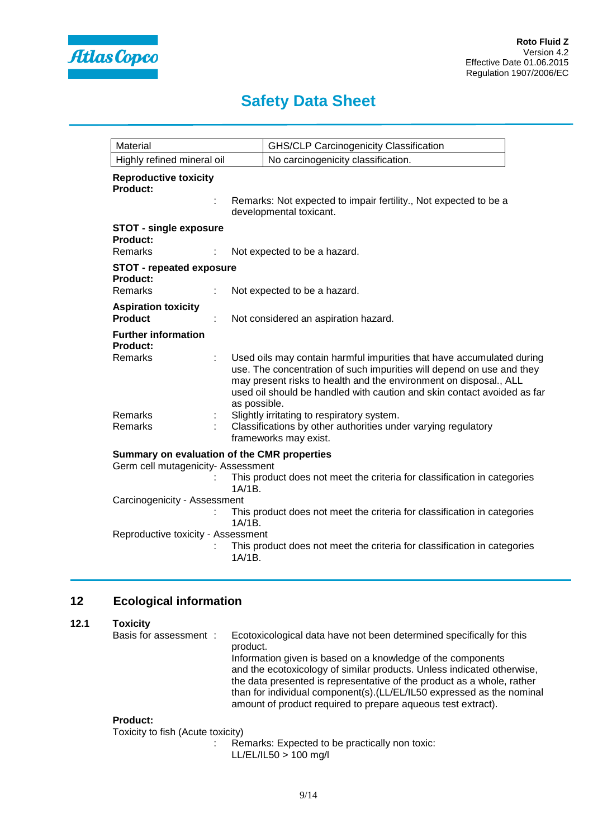

| Material                                    |              | <b>GHS/CLP Carcinogenicity Classification</b>                                                                                                                                                                                                                                                  |
|---------------------------------------------|--------------|------------------------------------------------------------------------------------------------------------------------------------------------------------------------------------------------------------------------------------------------------------------------------------------------|
| Highly refined mineral oil                  |              | No carcinogenicity classification.                                                                                                                                                                                                                                                             |
| <b>Reproductive toxicity</b><br>Product:    |              | Remarks: Not expected to impair fertility., Not expected to be a<br>developmental toxicant.                                                                                                                                                                                                    |
| <b>STOT - single exposure</b>               |              |                                                                                                                                                                                                                                                                                                |
| <b>Product:</b>                             |              |                                                                                                                                                                                                                                                                                                |
| <b>Remarks</b>                              |              | Not expected to be a hazard.                                                                                                                                                                                                                                                                   |
| <b>STOT - repeated exposure</b>             |              |                                                                                                                                                                                                                                                                                                |
| Product:<br><b>Remarks</b>                  |              | Not expected to be a hazard.                                                                                                                                                                                                                                                                   |
| <b>Aspiration toxicity</b>                  |              |                                                                                                                                                                                                                                                                                                |
| <b>Product</b>                              |              | Not considered an aspiration hazard.                                                                                                                                                                                                                                                           |
| <b>Further information</b><br>Product:      |              |                                                                                                                                                                                                                                                                                                |
| <b>Remarks</b>                              | as possible. | Used oils may contain harmful impurities that have accumulated during<br>use. The concentration of such impurities will depend on use and they<br>may present risks to health and the environment on disposal., ALL<br>used oil should be handled with caution and skin contact avoided as far |
| <b>Remarks</b><br>Remarks                   |              | Slightly irritating to respiratory system.<br>Classifications by other authorities under varying regulatory<br>frameworks may exist.                                                                                                                                                           |
| Summary on evaluation of the CMR properties |              |                                                                                                                                                                                                                                                                                                |
| Germ cell mutagenicity- Assessment          |              |                                                                                                                                                                                                                                                                                                |
|                                             | $1A/1B$ .    | This product does not meet the criteria for classification in categories                                                                                                                                                                                                                       |
| Carcinogenicity - Assessment                |              |                                                                                                                                                                                                                                                                                                |
|                                             | $1A/1B$ .    | This product does not meet the criteria for classification in categories                                                                                                                                                                                                                       |
| Reproductive toxicity - Assessment          |              |                                                                                                                                                                                                                                                                                                |
|                                             | $1A/1B$ .    | This product does not meet the criteria for classification in categories                                                                                                                                                                                                                       |

## **12 Ecological information**

### **12.1 Toxicity**

| Basis for assessment:                                             | Ecotoxicological data have not been determined specifically for this<br>product.                                                                                                                                |
|-------------------------------------------------------------------|-----------------------------------------------------------------------------------------------------------------------------------------------------------------------------------------------------------------|
|                                                                   | Information given is based on a knowledge of the components<br>and the ecotoxicology of similar products. Unless indicated otherwise,<br>the data presented is representative of the product as a whole, rather |
|                                                                   | than for individual component(s).(LL/EL/IL50 expressed as the nominal<br>amount of product required to prepare aqueous test extract).                                                                           |
| <b>Product:</b><br>$T$ and also the field $(A)$ and a translation |                                                                                                                                                                                                                 |

Toxicity to fish (Acute toxicity)

: Remarks: Expected to be practically non toxic: LL/EL/IL50 > 100 mg/l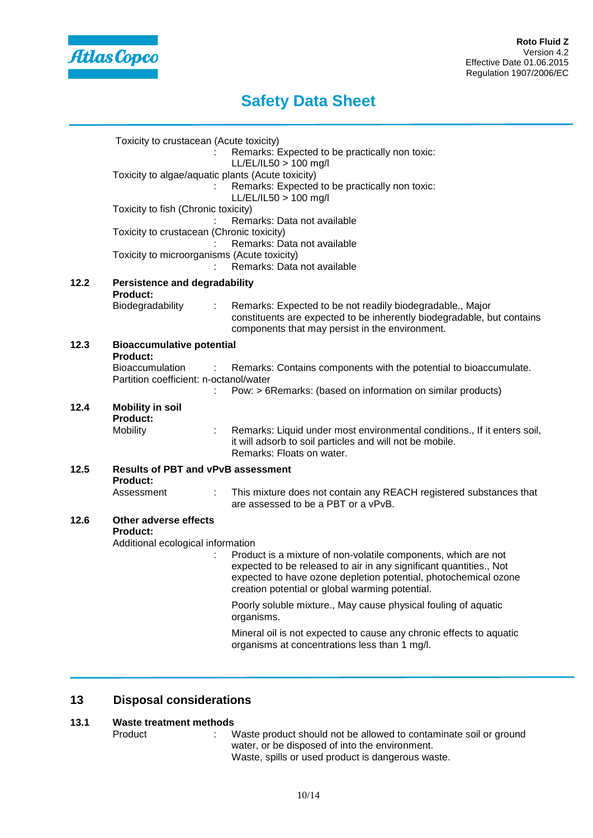

|      | Toxicity to crustacean (Acute toxicity)                      | Remarks: Expected to be practically non toxic:                                                                                                                                              |  |  |  |  |
|------|--------------------------------------------------------------|---------------------------------------------------------------------------------------------------------------------------------------------------------------------------------------------|--|--|--|--|
|      |                                                              | $LL/EL/IL50 > 100$ mg/l<br>Toxicity to algae/aquatic plants (Acute toxicity)<br>Remarks: Expected to be practically non toxic:<br>$LL/EL/IL50 > 100$ mg/l                                   |  |  |  |  |
|      | Toxicity to fish (Chronic toxicity)                          | Remarks: Data not available                                                                                                                                                                 |  |  |  |  |
|      | Toxicity to crustacean (Chronic toxicity)                    | Remarks: Data not available                                                                                                                                                                 |  |  |  |  |
|      | Toxicity to microorganisms (Acute toxicity)                  | Remarks: Data not available                                                                                                                                                                 |  |  |  |  |
| 12.2 | <b>Persistence and degradability</b><br><b>Product:</b>      |                                                                                                                                                                                             |  |  |  |  |
|      | Biodegradability                                             | Remarks: Expected to be not readily biodegradable., Major<br>÷<br>constituents are expected to be inherently biodegradable, but contains<br>components that may persist in the environment. |  |  |  |  |
| 12.3 | <b>Bioaccumulative potential</b><br><b>Product:</b>          |                                                                                                                                                                                             |  |  |  |  |
|      | Bioaccumulation<br>Partition coefficient: n-octanol/water    | Remarks: Contains components with the potential to bioaccumulate.<br>÷<br>Pow: > 6Remarks: (based on information on similar products)                                                       |  |  |  |  |
| 12.4 | <b>Mobility in soil</b><br><b>Product:</b>                   |                                                                                                                                                                                             |  |  |  |  |
|      | Mobility                                                     | Remarks: Liquid under most environmental conditions., If it enters soil,<br>it will adsorb to soil particles and will not be mobile.<br>Remarks: Floats on water.                           |  |  |  |  |
| 12.5 | <b>Results of PBT and vPvB assessment</b><br><b>Product:</b> |                                                                                                                                                                                             |  |  |  |  |
|      | Assessment                                                   | ÷.<br>This mixture does not contain any REACH registered substances that<br>are assessed to be a PBT or a vPvB.                                                                             |  |  |  |  |
| 12.6 | Other adverse effects<br><b>Product:</b>                     |                                                                                                                                                                                             |  |  |  |  |
|      | Additional ecological information                            | Product is a mixture of non-volatile components, which are not                                                                                                                              |  |  |  |  |
|      |                                                              | expected to be released to air in any significant quantities., Not<br>expected to have ozone depletion potential, photochemical ozone<br>creation potential or global warming potential.    |  |  |  |  |
|      |                                                              | Poorly soluble mixture., May cause physical fouling of aquatic<br>organisms.                                                                                                                |  |  |  |  |
|      |                                                              | Mineral oil is not expected to cause any chronic effects to aquatic<br>organisms at concentrations less than 1 mg/l.                                                                        |  |  |  |  |

## **13 Disposal considerations**

# **13.1 Waste treatment methods**<br>Product : V

: Waste product should not be allowed to contaminate soil or ground water, or be disposed of into the environment. Waste, spills or used product is dangerous waste.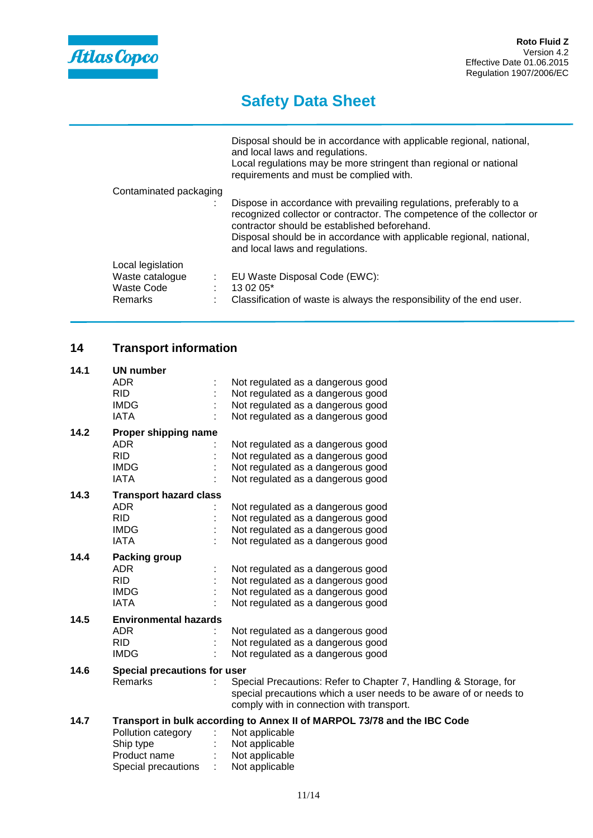

needs to

# **Safety Data Sheet**

|                                                                                 | Disposal should be in accordance with applicable regional, national,<br>and local laws and regulations.<br>Local regulations may be more stringent than regional or national<br>requirements and must be complied with.                                                                                 |
|---------------------------------------------------------------------------------|---------------------------------------------------------------------------------------------------------------------------------------------------------------------------------------------------------------------------------------------------------------------------------------------------------|
| Contaminated packaging                                                          | Dispose in accordance with prevailing regulations, preferably to a<br>recognized collector or contractor. The competence of the collector or<br>contractor should be established beforehand.<br>Disposal should be in accordance with applicable regional, national,<br>and local laws and regulations. |
| Local legislation<br>Waste catalogue<br>÷<br>Waste Code<br><b>Remarks</b><br>÷. | EU Waste Disposal Code (EWC):<br>$13.02.05*$<br>Classification of waste is always the responsibility of the end user.                                                                                                                                                                                   |

## **14 Transport information**

| 14.1 | <b>UN number</b>              |                                                                          |                                                                  |  |  |
|------|-------------------------------|--------------------------------------------------------------------------|------------------------------------------------------------------|--|--|
|      | ADR.                          |                                                                          | Not regulated as a dangerous good                                |  |  |
|      | <b>RID</b>                    |                                                                          | Not regulated as a dangerous good                                |  |  |
|      | <b>IMDG</b>                   |                                                                          | Not regulated as a dangerous good                                |  |  |
|      | <b>IATA</b>                   |                                                                          | Not regulated as a dangerous good                                |  |  |
| 14.2 | Proper shipping name          |                                                                          |                                                                  |  |  |
|      | <b>ADR</b>                    |                                                                          | Not regulated as a dangerous good                                |  |  |
|      | <b>RID</b>                    |                                                                          | Not regulated as a dangerous good                                |  |  |
|      | <b>IMDG</b>                   |                                                                          | Not regulated as a dangerous good                                |  |  |
|      | <b>IATA</b>                   |                                                                          | Not regulated as a dangerous good                                |  |  |
| 14.3 | <b>Transport hazard class</b> |                                                                          |                                                                  |  |  |
|      | ADR.                          |                                                                          | Not regulated as a dangerous good                                |  |  |
|      | <b>RID</b>                    |                                                                          | Not regulated as a dangerous good                                |  |  |
|      | <b>IMDG</b>                   |                                                                          | Not regulated as a dangerous good                                |  |  |
|      | <b>IATA</b>                   |                                                                          | Not regulated as a dangerous good                                |  |  |
| 14.4 | Packing group                 |                                                                          |                                                                  |  |  |
|      | <b>ADR</b>                    |                                                                          | Not regulated as a dangerous good                                |  |  |
|      | <b>RID</b>                    |                                                                          | Not regulated as a dangerous good                                |  |  |
|      | <b>IMDG</b>                   |                                                                          | Not regulated as a dangerous good                                |  |  |
|      | <b>IATA</b>                   |                                                                          | Not regulated as a dangerous good                                |  |  |
| 14.5 | <b>Environmental hazards</b>  |                                                                          |                                                                  |  |  |
|      | ADR.                          |                                                                          | Not regulated as a dangerous good                                |  |  |
|      | RID.                          |                                                                          | Not regulated as a dangerous good                                |  |  |
|      | <b>IMDG</b>                   |                                                                          | Not regulated as a dangerous good                                |  |  |
| 14.6 | Special precautions for user  |                                                                          |                                                                  |  |  |
|      | Remarks                       |                                                                          | Special Precautions: Refer to Chapter 7, Handling & Storage, for |  |  |
|      |                               |                                                                          | special precautions which a user needs to be aware of or needs t |  |  |
|      |                               |                                                                          | comply with in connection with transport.                        |  |  |
| 14.7 |                               | Transport in bulk according to Annex II of MARPOL 73/78 and the IBC Code |                                                                  |  |  |
|      | Pollution category            |                                                                          | Not applicable                                                   |  |  |
|      | Ship type                     |                                                                          | Not applicable                                                   |  |  |
|      | Product name                  |                                                                          | Not applicable                                                   |  |  |

Product name : Not applicable<br>Special precautions : Not applicable

Special precautions :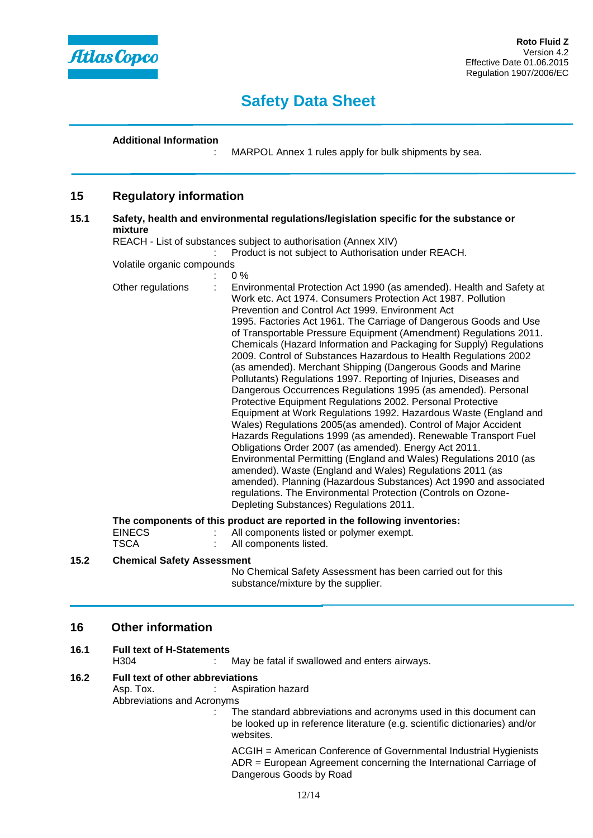

#### **Additional Information**

: MARPOL Annex 1 rules apply for bulk shipments by sea.

### **15 Regulatory information**

#### **15.1 Safety, health and environmental regulations/legislation specific for the substance or mixture**

REACH - List of substances subject to authorisation (Annex XIV)

: Product is not subject to Authorisation under REACH.

Volatile organic compounds  $\cap$   $\alpha$ 

| Other regulations | Environmental Protection Act 1990 (as amended). Health and Safety at<br>Work etc. Act 1974. Consumers Protection Act 1987. Pollution<br>Prevention and Control Act 1999. Environment Act<br>1995. Factories Act 1961. The Carriage of Dangerous Goods and Use<br>of Transportable Pressure Equipment (Amendment) Regulations 2011.<br>Chemicals (Hazard Information and Packaging for Supply) Regulations<br>2009. Control of Substances Hazardous to Health Regulations 2002<br>(as amended). Merchant Shipping (Dangerous Goods and Marine<br>Pollutants) Regulations 1997. Reporting of Injuries, Diseases and<br>Dangerous Occurrences Regulations 1995 (as amended). Personal<br>Protective Equipment Regulations 2002. Personal Protective<br>Equipment at Work Regulations 1992. Hazardous Waste (England and<br>Wales) Regulations 2005(as amended). Control of Major Accident<br>Hazards Regulations 1999 (as amended). Renewable Transport Fuel<br>Obligations Order 2007 (as amended). Energy Act 2011.<br>Environmental Permitting (England and Wales) Regulations 2010 (as<br>amended). Waste (England and Wales) Regulations 2011 (as<br>amended). Planning (Hazardous Substances) Act 1990 and associated<br>regulations. The Environmental Protection (Controls on Ozone-<br>Depleting Substances) Regulations 2011. |
|-------------------|--------------------------------------------------------------------------------------------------------------------------------------------------------------------------------------------------------------------------------------------------------------------------------------------------------------------------------------------------------------------------------------------------------------------------------------------------------------------------------------------------------------------------------------------------------------------------------------------------------------------------------------------------------------------------------------------------------------------------------------------------------------------------------------------------------------------------------------------------------------------------------------------------------------------------------------------------------------------------------------------------------------------------------------------------------------------------------------------------------------------------------------------------------------------------------------------------------------------------------------------------------------------------------------------------------------------------------------|
|                   | The components of this product are reported in the following inventories:                                                                                                                                                                                                                                                                                                                                                                                                                                                                                                                                                                                                                                                                                                                                                                                                                                                                                                                                                                                                                                                                                                                                                                                                                                                            |

| <b>EINECS</b> | All components listed or polymer exempt. |
|---------------|------------------------------------------|
| TSCA          | All components listed.                   |

### **15.2 Chemical Safety Assessment**

No Chemical Safety Assessment has been carried out for this substance/mixture by the supplier.

## **16 Other information**

# **16.1 Full text of H-Statements**

: May be fatal if swallowed and enters airways.

#### **16.2 Full text of other abbreviations**

Asp. Tox. : Aspiration hazard

Abbreviations and Acronyms

: The standard abbreviations and acronyms used in this document can be looked up in reference literature (e.g. scientific dictionaries) and/or websites.

ACGIH = American Conference of Governmental Industrial Hygienists ADR = European Agreement concerning the International Carriage of Dangerous Goods by Road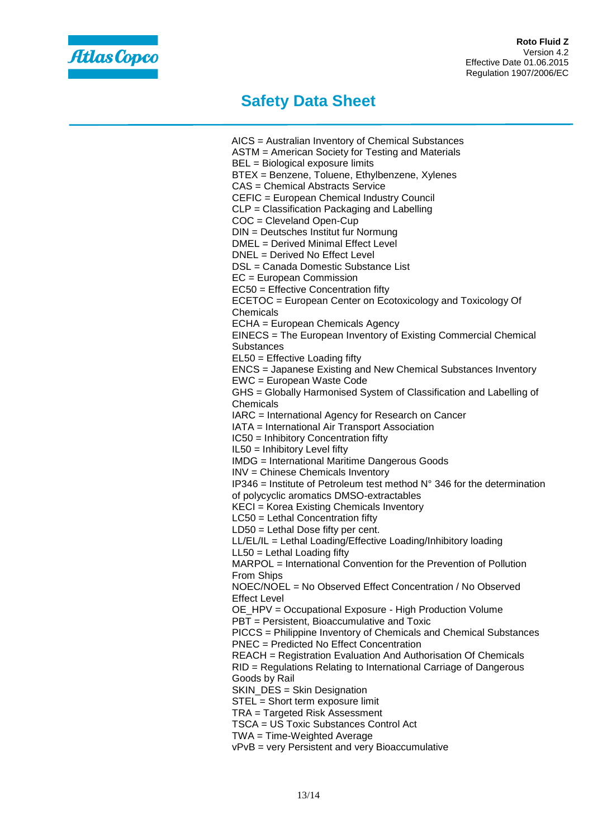

AICS = Australian Inventory of Chemical Substances ASTM = American Society for Testing and Materials BEL = Biological exposure limits BTEX = Benzene, Toluene, Ethylbenzene, Xylenes CAS = Chemical Abstracts Service CEFIC = European Chemical Industry Council CLP = Classification Packaging and Labelling COC = Cleveland Open-Cup DIN = Deutsches Institut fur Normung DMEL = Derived Minimal Effect Level DNEL = Derived No Effect Level DSL = Canada Domestic Substance List EC = European Commission EC50 = Effective Concentration fifty ECETOC = European Center on Ecotoxicology and Toxicology Of Chemicals ECHA = European Chemicals Agency EINECS = The European Inventory of Existing Commercial Chemical **Substances** EL50 = Effective Loading fifty ENCS = Japanese Existing and New Chemical Substances Inventory EWC = European Waste Code GHS = Globally Harmonised System of Classification and Labelling of Chemicals IARC = International Agency for Research on Cancer IATA = International Air Transport Association IC50 = Inhibitory Concentration fifty IL50 = Inhibitory Level fifty IMDG = International Maritime Dangerous Goods INV = Chinese Chemicals Inventory IP346 = Institute of Petroleum test method  $N^{\circ}$  346 for the determination of polycyclic aromatics DMSO-extractables KECI = Korea Existing Chemicals Inventory LC50 = Lethal Concentration fifty LD50 = Lethal Dose fifty per cent. LL/EL/IL = Lethal Loading/Effective Loading/Inhibitory loading LL50 = Lethal Loading fifty MARPOL = International Convention for the Prevention of Pollution From Ships NOEC/NOEL = No Observed Effect Concentration / No Observed Effect Level OE\_HPV = Occupational Exposure - High Production Volume PBT = Persistent, Bioaccumulative and Toxic PICCS = Philippine Inventory of Chemicals and Chemical Substances PNEC = Predicted No Effect Concentration REACH = Registration Evaluation And Authorisation Of Chemicals RID = Regulations Relating to International Carriage of Dangerous Goods by Rail SKIN DES = Skin Designation STEL = Short term exposure limit TRA = Targeted Risk Assessment TSCA = US Toxic Substances Control Act TWA = Time-Weighted Average vPvB = very Persistent and very Bioaccumulative